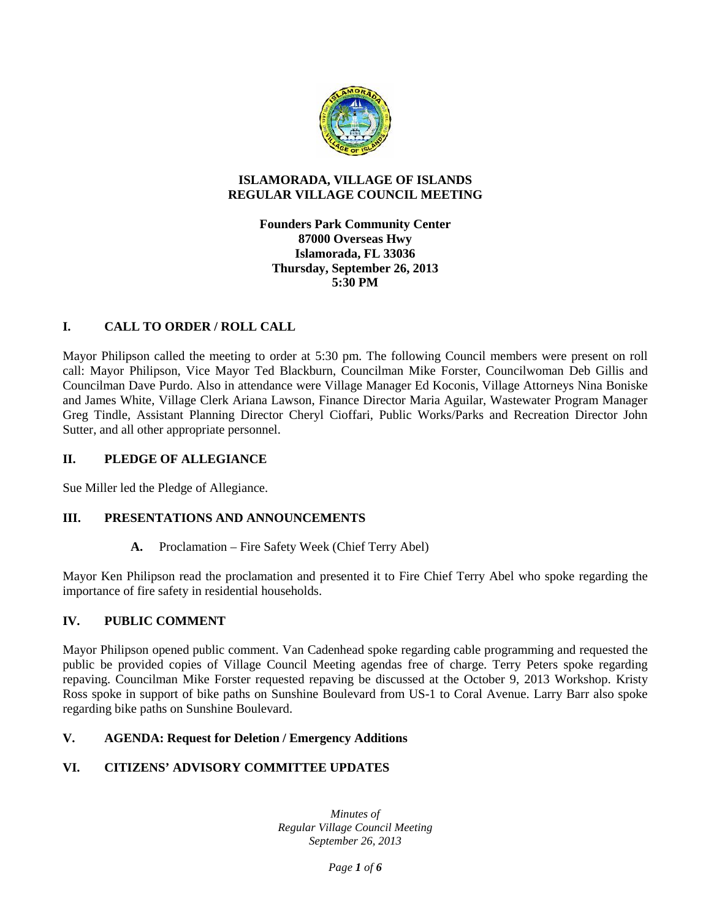

#### **ISLAMORADA, VILLAGE OF ISLANDS REGULAR VILLAGE COUNCIL MEETING**

**Founders Park Community Center 87000 Overseas Hwy Islamorada, FL 33036 Thursday, September 26, 2013 5:30 PM**

# **I. CALL TO ORDER / ROLL CALL**

Mayor Philipson called the meeting to order at 5:30 pm. The following Council members were present on roll call: Mayor Philipson, Vice Mayor Ted Blackburn, Councilman Mike Forster, Councilwoman Deb Gillis and Councilman Dave Purdo. Also in attendance were Village Manager Ed Koconis, Village Attorneys Nina Boniske and James White, Village Clerk Ariana Lawson, Finance Director Maria Aguilar, Wastewater Program Manager Greg Tindle, Assistant Planning Director Cheryl Cioffari, Public Works/Parks and Recreation Director John Sutter, and all other appropriate personnel.

# **II. PLEDGE OF ALLEGIANCE**

Sue Miller led the Pledge of Allegiance.

# **III. PRESENTATIONS AND ANNOUNCEMENTS**

**A.** Proclamation – Fire Safety Week (Chief Terry Abel)

Mayor Ken Philipson read the proclamation and presented it to Fire Chief Terry Abel who spoke regarding the importance of fire safety in residential households.

# **IV. PUBLIC COMMENT**

Mayor Philipson opened public comment. Van Cadenhead spoke regarding cable programming and requested the public be provided copies of Village Council Meeting agendas free of charge. Terry Peters spoke regarding repaving. Councilman Mike Forster requested repaving be discussed at the October 9, 2013 Workshop. Kristy Ross spoke in support of bike paths on Sunshine Boulevard from US-1 to Coral Avenue. Larry Barr also spoke regarding bike paths on Sunshine Boulevard.

# **V. AGENDA: Request for Deletion / Emergency Additions**

# **VI. CITIZENS' ADVISORY COMMITTEE UPDATES**

*Minutes of Regular Village Council Meeting September 26, 2013*

*Page 1 of 6*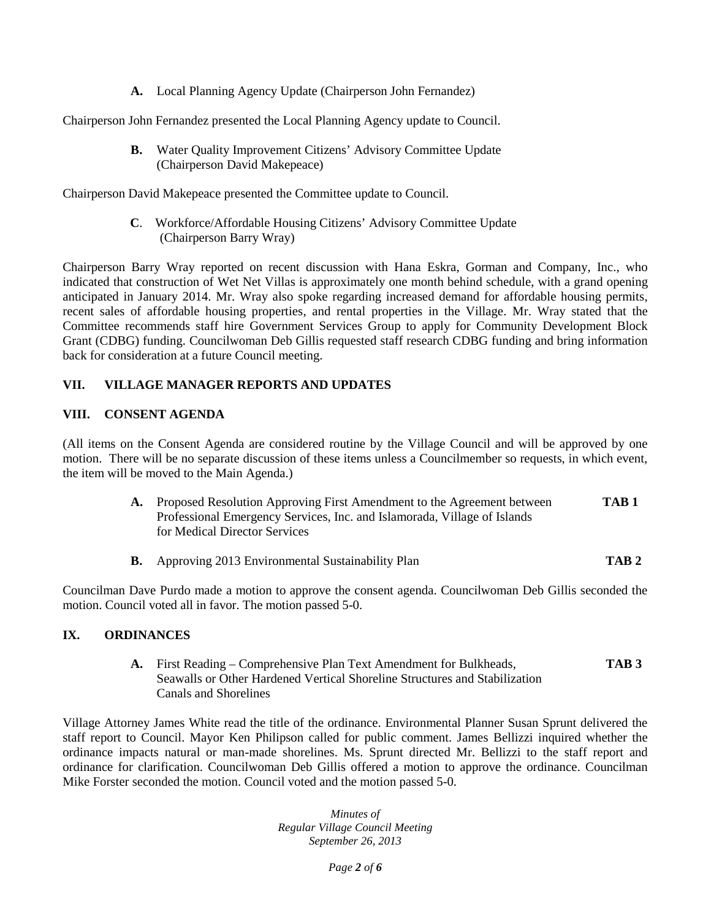**A.** Local Planning Agency Update (Chairperson John Fernandez)

Chairperson John Fernandez presented the Local Planning Agency update to Council.

**B.** Water Quality Improvement Citizens' Advisory Committee Update (Chairperson David Makepeace)

Chairperson David Makepeace presented the Committee update to Council.

**C**. Workforce/Affordable Housing Citizens' Advisory Committee Update (Chairperson Barry Wray)

Chairperson Barry Wray reported on recent discussion with Hana Eskra, Gorman and Company, Inc., who indicated that construction of Wet Net Villas is approximately one month behind schedule, with a grand opening anticipated in January 2014. Mr. Wray also spoke regarding increased demand for affordable housing permits, recent sales of affordable housing properties, and rental properties in the Village. Mr. Wray stated that the Committee recommends staff hire Government Services Group to apply for Community Development Block Grant (CDBG) funding. Councilwoman Deb Gillis requested staff research CDBG funding and bring information back for consideration at a future Council meeting.

# **VII. VILLAGE MANAGER REPORTS AND UPDATES**

#### **VIII. CONSENT AGENDA**

(All items on the Consent Agenda are considered routine by the Village Council and will be approved by one motion. There will be no separate discussion of these items unless a Councilmember so requests, in which event, the item will be moved to the Main Agenda.)

- **A.** Proposed Resolution Approving First Amendment to the Agreement between **TAB 1** Professional Emergency Services, Inc. and Islamorada, Village of Islands for Medical Director Services
- **B.** Approving 2013 Environmental Sustainability Plan **TAB 2**

Councilman Dave Purdo made a motion to approve the consent agenda. Councilwoman Deb Gillis seconded the motion. Council voted all in favor. The motion passed 5-0.

# **IX. ORDINANCES**

**A.** First Reading – Comprehensive Plan Text Amendment for Bulkheads, **TAB 3** Seawalls or Other Hardened Vertical Shoreline Structures and Stabilization Canals and Shorelines

Village Attorney James White read the title of the ordinance. Environmental Planner Susan Sprunt delivered the staff report to Council. Mayor Ken Philipson called for public comment. James Bellizzi inquired whether the ordinance impacts natural or man-made shorelines. Ms. Sprunt directed Mr. Bellizzi to the staff report and ordinance for clarification. Councilwoman Deb Gillis offered a motion to approve the ordinance. Councilman Mike Forster seconded the motion. Council voted and the motion passed 5-0.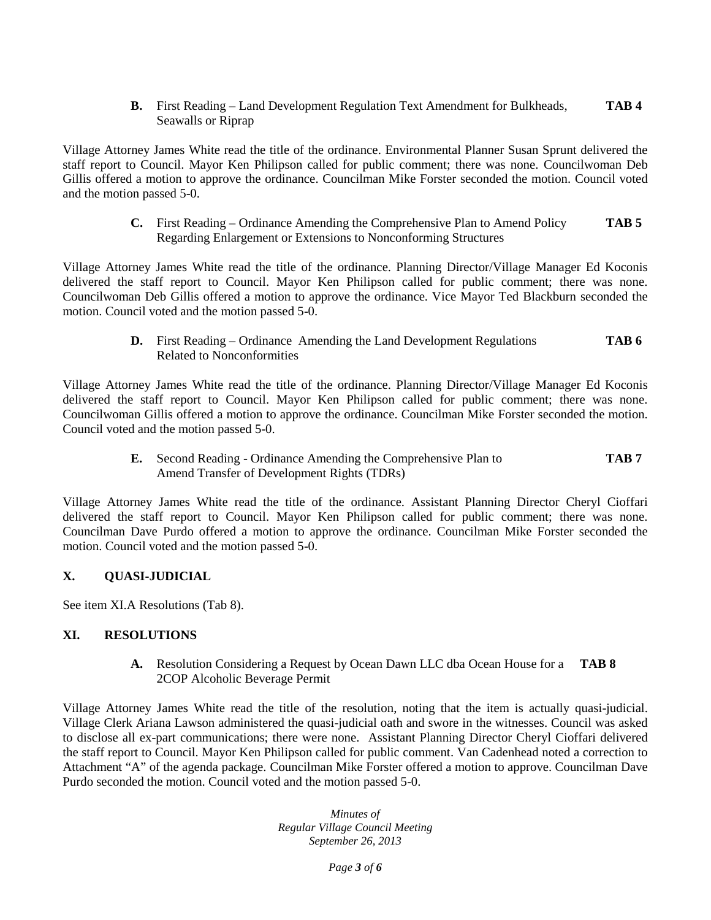**B.** First Reading – Land Development Regulation Text Amendment for Bulkheads, **TAB 4** Seawalls or Riprap

Village Attorney James White read the title of the ordinance. Environmental Planner Susan Sprunt delivered the staff report to Council. Mayor Ken Philipson called for public comment; there was none. Councilwoman Deb Gillis offered a motion to approve the ordinance. Councilman Mike Forster seconded the motion. Council voted and the motion passed 5-0.

> **C.** First Reading – Ordinance Amending the Comprehensive Plan to Amend Policy **TAB 5** Regarding Enlargement or Extensions to Nonconforming Structures

Village Attorney James White read the title of the ordinance. Planning Director/Village Manager Ed Koconis delivered the staff report to Council. Mayor Ken Philipson called for public comment; there was none. Councilwoman Deb Gillis offered a motion to approve the ordinance. Vice Mayor Ted Blackburn seconded the motion. Council voted and the motion passed 5-0.

> **D.** First Reading – Ordinance Amending the Land Development Regulations **TAB 6** Related to Nonconformities

Village Attorney James White read the title of the ordinance. Planning Director/Village Manager Ed Koconis delivered the staff report to Council. Mayor Ken Philipson called for public comment; there was none. Councilwoman Gillis offered a motion to approve the ordinance. Councilman Mike Forster seconded the motion. Council voted and the motion passed 5-0.

> **E.** Second Reading - Ordinance Amending the Comprehensive Plan to **TAB 7** Amend Transfer of Development Rights (TDRs)

Village Attorney James White read the title of the ordinance. Assistant Planning Director Cheryl Cioffari delivered the staff report to Council. Mayor Ken Philipson called for public comment; there was none. Councilman Dave Purdo offered a motion to approve the ordinance. Councilman Mike Forster seconded the motion. Council voted and the motion passed 5-0.

# **X. QUASI-JUDICIAL**

See item XI.A Resolutions (Tab 8).

# **XI. RESOLUTIONS**

**A.** Resolution Considering a Request by Ocean Dawn LLC dba Ocean House for a **TAB 8** 2COP Alcoholic Beverage Permit

Village Attorney James White read the title of the resolution, noting that the item is actually quasi-judicial. Village Clerk Ariana Lawson administered the quasi-judicial oath and swore in the witnesses. Council was asked to disclose all ex-part communications; there were none. Assistant Planning Director Cheryl Cioffari delivered the staff report to Council. Mayor Ken Philipson called for public comment. Van Cadenhead noted a correction to Attachment "A" of the agenda package. Councilman Mike Forster offered a motion to approve. Councilman Dave Purdo seconded the motion. Council voted and the motion passed 5-0.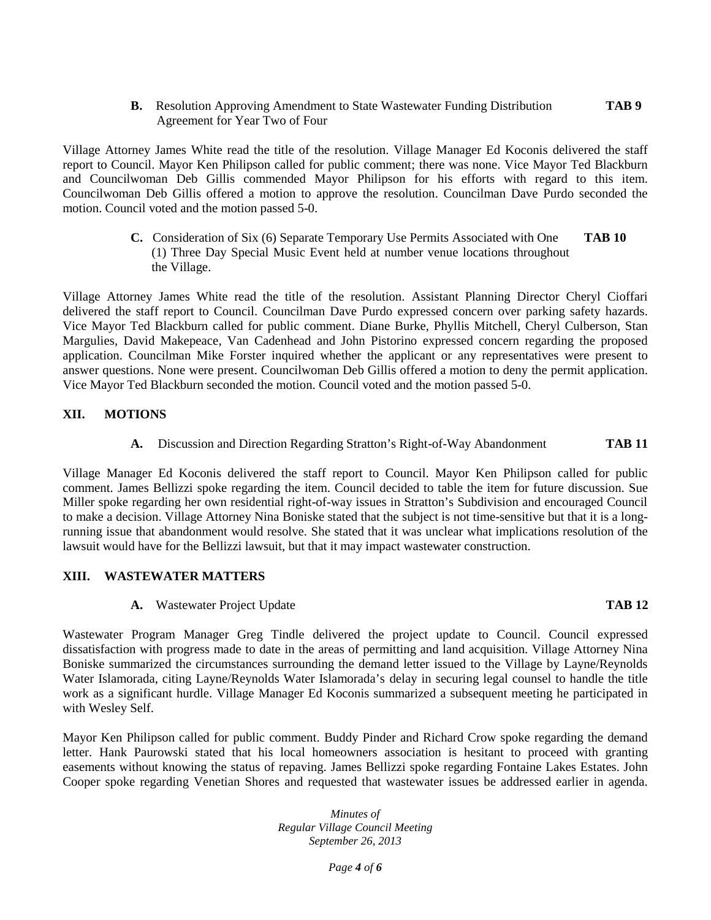**B.** Resolution Approving Amendment to State Wastewater Funding Distribution **TAB 9** Agreement for Year Two of Four

Village Attorney James White read the title of the resolution. Village Manager Ed Koconis delivered the staff report to Council. Mayor Ken Philipson called for public comment; there was none. Vice Mayor Ted Blackburn and Councilwoman Deb Gillis commended Mayor Philipson for his efforts with regard to this item. Councilwoman Deb Gillis offered a motion to approve the resolution. Councilman Dave Purdo seconded the motion. Council voted and the motion passed 5-0.

> **C.** Consideration of Six (6) Separate Temporary Use Permits Associated with One **TAB 10** (1) Three Day Special Music Event held at number venue locations throughout the Village.

Village Attorney James White read the title of the resolution. Assistant Planning Director Cheryl Cioffari delivered the staff report to Council. Councilman Dave Purdo expressed concern over parking safety hazards. Vice Mayor Ted Blackburn called for public comment. Diane Burke, Phyllis Mitchell, Cheryl Culberson, Stan Margulies, David Makepeace, Van Cadenhead and John Pistorino expressed concern regarding the proposed application. Councilman Mike Forster inquired whether the applicant or any representatives were present to answer questions. None were present. Councilwoman Deb Gillis offered a motion to deny the permit application. Vice Mayor Ted Blackburn seconded the motion. Council voted and the motion passed 5-0.

#### **XII. MOTIONS**

**A.** Discussion and Direction Regarding Stratton's Right-of-Way Abandonment **TAB 11**

Village Manager Ed Koconis delivered the staff report to Council. Mayor Ken Philipson called for public comment. James Bellizzi spoke regarding the item. Council decided to table the item for future discussion. Sue Miller spoke regarding her own residential right-of-way issues in Stratton's Subdivision and encouraged Council to make a decision. Village Attorney Nina Boniske stated that the subject is not time-sensitive but that it is a longrunning issue that abandonment would resolve. She stated that it was unclear what implications resolution of the lawsuit would have for the Bellizzi lawsuit, but that it may impact wastewater construction.

#### **XIII. WASTEWATER MATTERS**

**A.** Wastewater Project Update **TAB 12**

Wastewater Program Manager Greg Tindle delivered the project update to Council. Council expressed dissatisfaction with progress made to date in the areas of permitting and land acquisition. Village Attorney Nina Boniske summarized the circumstances surrounding the demand letter issued to the Village by Layne/Reynolds Water Islamorada, citing Layne/Reynolds Water Islamorada's delay in securing legal counsel to handle the title work as a significant hurdle. Village Manager Ed Koconis summarized a subsequent meeting he participated in with Wesley Self.

Mayor Ken Philipson called for public comment. Buddy Pinder and Richard Crow spoke regarding the demand letter. Hank Paurowski stated that his local homeowners association is hesitant to proceed with granting easements without knowing the status of repaving. James Bellizzi spoke regarding Fontaine Lakes Estates. John Cooper spoke regarding Venetian Shores and requested that wastewater issues be addressed earlier in agenda.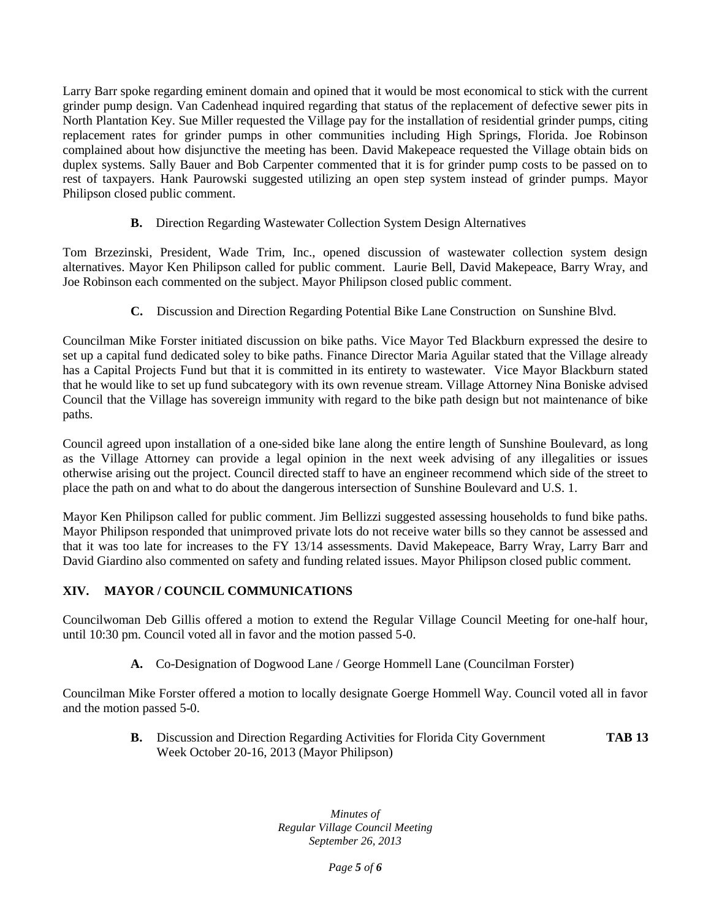Larry Barr spoke regarding eminent domain and opined that it would be most economical to stick with the current grinder pump design. Van Cadenhead inquired regarding that status of the replacement of defective sewer pits in North Plantation Key. Sue Miller requested the Village pay for the installation of residential grinder pumps, citing replacement rates for grinder pumps in other communities including High Springs, Florida. Joe Robinson complained about how disjunctive the meeting has been. David Makepeace requested the Village obtain bids on duplex systems. Sally Bauer and Bob Carpenter commented that it is for grinder pump costs to be passed on to rest of taxpayers. Hank Paurowski suggested utilizing an open step system instead of grinder pumps. Mayor Philipson closed public comment.

**B.** Direction Regarding Wastewater Collection System Design Alternatives

Tom Brzezinski, President, Wade Trim, Inc., opened discussion of wastewater collection system design alternatives. Mayor Ken Philipson called for public comment. Laurie Bell, David Makepeace, Barry Wray, and Joe Robinson each commented on the subject. Mayor Philipson closed public comment.

**C.** Discussion and Direction Regarding Potential Bike Lane Construction on Sunshine Blvd.

Councilman Mike Forster initiated discussion on bike paths. Vice Mayor Ted Blackburn expressed the desire to set up a capital fund dedicated soley to bike paths. Finance Director Maria Aguilar stated that the Village already has a Capital Projects Fund but that it is committed in its entirety to wastewater. Vice Mayor Blackburn stated that he would like to set up fund subcategory with its own revenue stream. Village Attorney Nina Boniske advised Council that the Village has sovereign immunity with regard to the bike path design but not maintenance of bike paths.

Council agreed upon installation of a one-sided bike lane along the entire length of Sunshine Boulevard, as long as the Village Attorney can provide a legal opinion in the next week advising of any illegalities or issues otherwise arising out the project. Council directed staff to have an engineer recommend which side of the street to place the path on and what to do about the dangerous intersection of Sunshine Boulevard and U.S. 1.

Mayor Ken Philipson called for public comment. Jim Bellizzi suggested assessing households to fund bike paths. Mayor Philipson responded that unimproved private lots do not receive water bills so they cannot be assessed and that it was too late for increases to the FY 13/14 assessments. David Makepeace, Barry Wray, Larry Barr and David Giardino also commented on safety and funding related issues. Mayor Philipson closed public comment.

# **XIV. MAYOR / COUNCIL COMMUNICATIONS**

Councilwoman Deb Gillis offered a motion to extend the Regular Village Council Meeting for one-half hour, until 10:30 pm. Council voted all in favor and the motion passed 5-0.

**A.** Co-Designation of Dogwood Lane / George Hommell Lane (Councilman Forster)

Councilman Mike Forster offered a motion to locally designate Goerge Hommell Way. Council voted all in favor and the motion passed 5-0.

> **B.** Discussion and Direction Regarding Activities for Florida City Government **TAB 13** Week October 20-16, 2013 (Mayor Philipson)